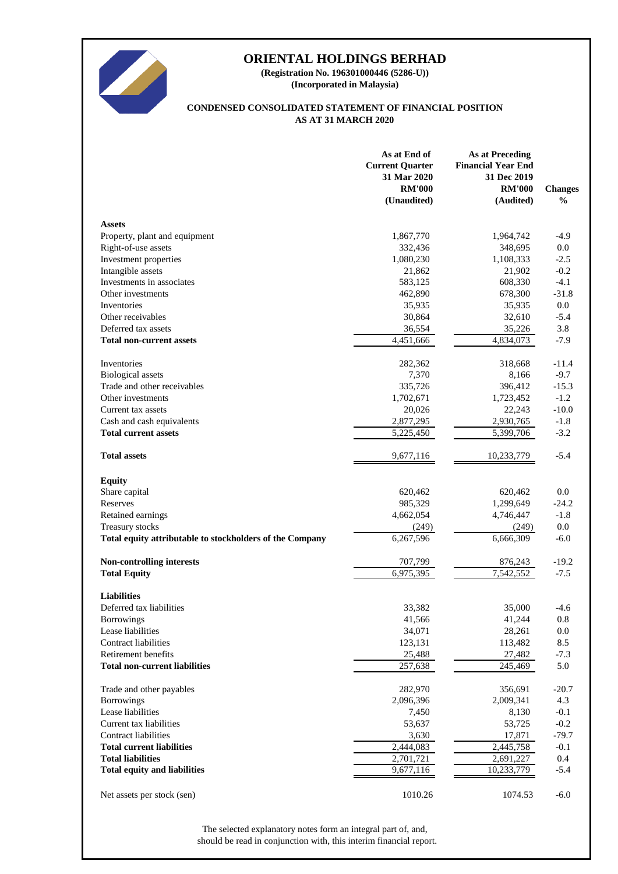

**(Incorporated in Malaysia) (Registration No. 196301000446 (5286-U))**

### **AS AT 31 MARCH 2020 CONDENSED CONSOLIDATED STATEMENT OF FINANCIAL POSITION**

|                                                          | As at End of<br><b>Current Quarter</b><br>31 Mar 2020<br><b>RM'000</b><br>(Unaudited) | <b>As at Preceding</b><br><b>Financial Year End</b><br>31 Dec 2019<br><b>RM'000</b><br>(Audited) | <b>Changes</b><br>$\frac{6}{6}$ |
|----------------------------------------------------------|---------------------------------------------------------------------------------------|--------------------------------------------------------------------------------------------------|---------------------------------|
| <b>Assets</b>                                            |                                                                                       |                                                                                                  |                                 |
| Property, plant and equipment                            | 1,867,770                                                                             | 1,964,742                                                                                        | $-4.9$                          |
| Right-of-use assets                                      | 332,436                                                                               | 348,695                                                                                          | 0.0                             |
| Investment properties                                    | 1,080,230                                                                             | 1,108,333                                                                                        | $-2.5$                          |
| Intangible assets                                        | 21,862                                                                                | 21,902                                                                                           | $-0.2$                          |
| Investments in associates                                | 583,125                                                                               | 608,330                                                                                          | $-4.1$                          |
| Other investments                                        | 462,890                                                                               | 678,300                                                                                          | $-31.8$                         |
| Inventories                                              | 35,935                                                                                | 35,935                                                                                           | 0.0                             |
| Other receivables                                        | 30,864                                                                                | 32,610                                                                                           | $-5.4$                          |
| Deferred tax assets                                      | 36,554                                                                                | 35,226                                                                                           | 3.8                             |
| <b>Total non-current assets</b>                          | 4,451,666                                                                             | 4,834,073                                                                                        | $-7.9$                          |
| Inventories                                              | 282,362                                                                               | 318,668                                                                                          | $-11.4$                         |
| <b>Biological</b> assets                                 | 7,370                                                                                 | 8,166                                                                                            | $-9.7$                          |
| Trade and other receivables                              | 335,726                                                                               | 396,412                                                                                          | $-15.3$                         |
| Other investments                                        | 1,702,671                                                                             | 1,723,452                                                                                        | $-1.2$                          |
| Current tax assets                                       | 20,026                                                                                | 22,243                                                                                           | $-10.0$                         |
| Cash and cash equivalents                                | 2,877,295                                                                             | 2,930,765                                                                                        | $-1.8$                          |
| <b>Total current assets</b>                              | 5,225,450                                                                             | 5,399,706                                                                                        | $-3.2$                          |
| <b>Total assets</b>                                      | 9,677,116                                                                             | 10,233,779                                                                                       | $-5.4$                          |
| <b>Equity</b>                                            |                                                                                       |                                                                                                  |                                 |
| Share capital                                            | 620,462                                                                               | 620,462                                                                                          | 0.0                             |
| Reserves                                                 | 985,329                                                                               | 1,299,649                                                                                        | $-24.2$                         |
| Retained earnings                                        | 4,662,054                                                                             | 4,746,447                                                                                        | $-1.8$                          |
| Treasury stocks                                          | (249)                                                                                 | (249)                                                                                            | $0.0\,$                         |
| Total equity attributable to stockholders of the Company | 6,267,596                                                                             | 6,666,309                                                                                        | $-6.0$                          |
| Non-controlling interests                                | 707,799                                                                               | 876,243                                                                                          | $-19.2$                         |
| <b>Total Equity</b>                                      | 6,975,395                                                                             | 7,542,552                                                                                        | $-7.5$                          |
| <b>Liabilities</b>                                       |                                                                                       |                                                                                                  |                                 |
| Deferred tax liabilities                                 | 33,382                                                                                | 35,000                                                                                           | $-4.6$                          |
| <b>Borrowings</b>                                        | 41,566                                                                                | 41,244                                                                                           | 0.8                             |
| Lease liabilities                                        | 34,071                                                                                | 28,261                                                                                           | 0.0                             |
| <b>Contract liabilities</b>                              | 123,131                                                                               | 113,482                                                                                          | 8.5                             |
| Retirement benefits                                      | 25,488                                                                                | 27,482                                                                                           | $-7.3$                          |
| <b>Total non-current liabilities</b>                     | 257,638                                                                               | 245,469                                                                                          | 5.0                             |
| Trade and other payables                                 | 282,970                                                                               | 356,691                                                                                          | $-20.7$                         |
| <b>Borrowings</b>                                        | 2,096,396                                                                             | 2,009,341                                                                                        | 4.3                             |
| Lease liabilities                                        | 7,450                                                                                 | 8,130                                                                                            | $-0.1$                          |
| Current tax liabilities                                  | 53,637                                                                                | 53,725                                                                                           | $-0.2$                          |
| <b>Contract liabilities</b>                              | 3,630                                                                                 | 17,871                                                                                           | $-79.7$                         |
| <b>Total current liabilities</b>                         | 2,444,083                                                                             | 2,445,758                                                                                        | $-0.1$                          |
| <b>Total liabilities</b>                                 | 2,701,721                                                                             | 2,691,227                                                                                        | 0.4                             |
| <b>Total equity and liabilities</b>                      | 9,677,116                                                                             | 10,233,779                                                                                       | $-5.4$                          |
| Net assets per stock (sen)                               | 1010.26                                                                               | 1074.53                                                                                          | $-6.0$                          |

should be read in conjunction with, this interim financial report. The selected explanatory notes form an integral part of, and,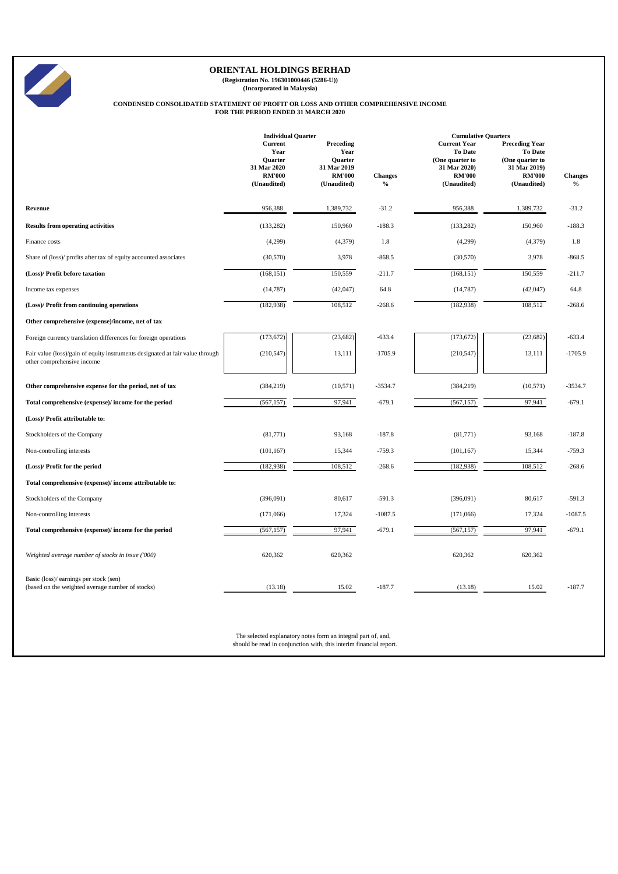

**(Registration No. 196301000446 (5286-U)) (Incorporated in Malaysia)**

# **CONDENSED CONSOLIDATED STATEMENT OF PROFIT OR LOSS AND OTHER COMPREHENSIVE INCOME FOR THE PERIOD ENDED 31 MARCH 2020**

|                                                                                                             | <b>Individual Quarter</b>                                  |                                                              |                | <b>Cumulative Quarters</b>                                                         |                                                                                             |                |  |  |
|-------------------------------------------------------------------------------------------------------------|------------------------------------------------------------|--------------------------------------------------------------|----------------|------------------------------------------------------------------------------------|---------------------------------------------------------------------------------------------|----------------|--|--|
|                                                                                                             | Current<br>Year<br>Quarter<br>31 Mar 2020<br><b>RM'000</b> | Preceding<br>Year<br>Quarter<br>31 Mar 2019<br><b>RM'000</b> | <b>Changes</b> | <b>Current Year</b><br>To Date<br>(One quarter to<br>31 Mar 2020)<br><b>RM'000</b> | <b>Preceding Year</b><br><b>To Date</b><br>(One quarter to<br>31 Mar 2019)<br><b>RM'000</b> | <b>Changes</b> |  |  |
|                                                                                                             | (Unaudited)                                                | (Unaudited)                                                  | $\%$           | (Unaudited)                                                                        | (Unaudited)                                                                                 | $\%$           |  |  |
| Revenue                                                                                                     | 956,388                                                    | 1,389,732                                                    | $-31.2$        | 956,388                                                                            | 1,389,732                                                                                   | $-31.2$        |  |  |
| <b>Results from operating activities</b>                                                                    | (133, 282)                                                 | 150,960                                                      | $-188.3$       | (133, 282)                                                                         | 150,960                                                                                     | $-188.3$       |  |  |
| Finance costs                                                                                               | (4,299)                                                    | (4, 379)                                                     | 1.8            | (4,299)                                                                            | (4, 379)                                                                                    | 1.8            |  |  |
| Share of (loss)/ profits after tax of equity accounted associates                                           | (30, 570)                                                  | 3,978                                                        | $-868.5$       | (30, 570)                                                                          | 3,978                                                                                       | $-868.5$       |  |  |
| (Loss)/ Profit before taxation                                                                              | (168, 151)                                                 | 150,559                                                      | $-211.7$       | (168, 151)                                                                         | 150,559                                                                                     | $-211.7$       |  |  |
| Income tax expenses                                                                                         | (14, 787)                                                  | (42, 047)                                                    | 64.8           | (14, 787)                                                                          | (42,047)                                                                                    | 64.8           |  |  |
| (Loss)/ Profit from continuing operations                                                                   | (182, 938)                                                 | 108,512                                                      | $-268.6$       | (182, 938)                                                                         | 108,512                                                                                     | $-268.6$       |  |  |
| Other comprehensive (expense)/income, net of tax                                                            |                                                            |                                                              |                |                                                                                    |                                                                                             |                |  |  |
| Foreign currency translation differences for foreign operations                                             | (173, 672)                                                 | (23, 682)                                                    | $-633.4$       | (173, 672)                                                                         | (23,682)                                                                                    | $-633.4$       |  |  |
| Fair value (loss)/gain of equity instruments designated at fair value through<br>other comprehensive income | (210, 547)                                                 | 13,111                                                       | $-1705.9$      | (210, 547)                                                                         | 13,111                                                                                      | $-1705.9$      |  |  |
| Other comprehensive expense for the period, net of tax                                                      | (384, 219)                                                 | (10, 571)                                                    | $-3534.7$      | (384, 219)                                                                         | (10,571)                                                                                    | $-3534.7$      |  |  |
| Total comprehensive (expense)/ income for the period                                                        | (567, 157)                                                 | 97,941                                                       | $-679.1$       | (567, 157)                                                                         | 97,941                                                                                      | $-679.1$       |  |  |
| (Loss)/ Profit attributable to:                                                                             |                                                            |                                                              |                |                                                                                    |                                                                                             |                |  |  |
| Stockholders of the Company                                                                                 | (81,771)                                                   | 93,168                                                       | $-187.8$       | (81,771)                                                                           | 93,168                                                                                      | $-187.8$       |  |  |
| Non-controlling interests                                                                                   | (101, 167)                                                 | 15,344                                                       | $-759.3$       | (101, 167)                                                                         | 15,344                                                                                      | $-759.3$       |  |  |
| (Loss)/ Profit for the period                                                                               | (182, 938)                                                 | 108,512                                                      | $-268.6$       | (182, 938)                                                                         | 108,512                                                                                     | $-268.6$       |  |  |
| Total comprehensive (expense)/ income attributable to:                                                      |                                                            |                                                              |                |                                                                                    |                                                                                             |                |  |  |
| Stockholders of the Company                                                                                 | (396,091)                                                  | 80,617                                                       | $-591.3$       | (396,091)                                                                          | 80,617                                                                                      | $-591.3$       |  |  |
| Non-controlling interests                                                                                   | (171,066)                                                  | 17,324                                                       | $-1087.5$      | (171,066)                                                                          | 17,324                                                                                      | $-1087.5$      |  |  |
| Total comprehensive (expense)/ income for the period                                                        | (567, 157)                                                 | 97,941                                                       | $-679.1$       | (567, 157)                                                                         | 97,941                                                                                      | $-679.1$       |  |  |
| Weighted average number of stocks in issue ('000)                                                           | 620,362                                                    | 620,362                                                      |                | 620,362                                                                            | 620,362                                                                                     |                |  |  |
| Basic (loss)/ earnings per stock (sen)<br>(based on the weighted average number of stocks)                  | (13.18)                                                    | 15.02                                                        | $-187.7$       | (13.18)                                                                            | 15.02                                                                                       | $-187.7$       |  |  |

The selected explanatory notes form an integral part of, and, should be read in conjunction with, this interim financial report.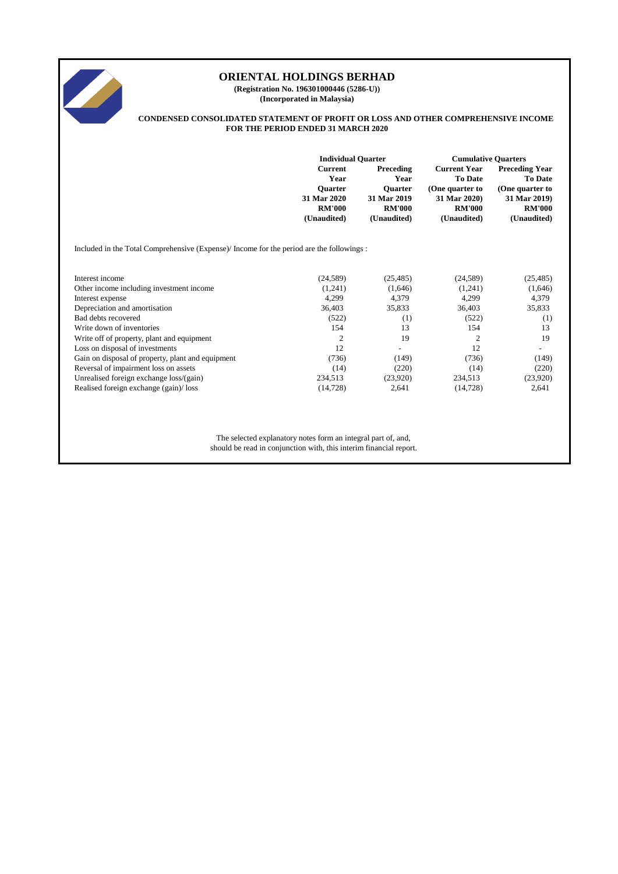

**(Registration No. 196301000446 (5286-U)) (Incorporated in Malaysia)**

#### **CONDENSED CONSOLIDATED STATEMENT OF PROFIT OR LOSS AND OTHER COMPREHENSIVE INCOME FOR THE PERIOD ENDED 31 MARCH 2020**

|                                                                                         | <b>Individual Quarter</b>                               |                                                    | <b>Cumulative Quarters</b>                                               |                                                                            |
|-----------------------------------------------------------------------------------------|---------------------------------------------------------|----------------------------------------------------|--------------------------------------------------------------------------|----------------------------------------------------------------------------|
|                                                                                         | <b>Current</b><br>Year<br><b>Ouarter</b><br>31 Mar 2020 | Preceding<br>Year<br><b>Ouarter</b><br>31 Mar 2019 | <b>Current Year</b><br><b>To Date</b><br>(One quarter to<br>31 Mar 2020) | <b>Preceding Year</b><br><b>To Date</b><br>(One quarter to<br>31 Mar 2019) |
|                                                                                         | <b>RM'000</b>                                           | <b>RM'000</b>                                      | <b>RM'000</b>                                                            | <b>RM'000</b>                                                              |
|                                                                                         | (Unaudited)                                             | (Unaudited)                                        | (Unaudited)                                                              | (Unaudited)                                                                |
| Included in the Total Comprehensive (Expense) Income for the period are the followings: |                                                         |                                                    |                                                                          |                                                                            |
| Interest income                                                                         | (24, 589)                                               | (25, 485)                                          | (24,589)                                                                 | (25, 485)                                                                  |
| Other income including investment income                                                | (1,241)                                                 | (1,646)                                            | (1,241)                                                                  | (1,646)                                                                    |
| Interest expense                                                                        | 4,299                                                   | 4,379                                              | 4,299                                                                    | 4,379                                                                      |
| Depreciation and amortisation                                                           | 36,403                                                  | 35,833                                             | 36,403                                                                   | 35,833                                                                     |
| Bad debts recovered                                                                     | (522)                                                   | (1)                                                | (522)                                                                    | (1)                                                                        |
| Write down of inventories                                                               | 154                                                     | 13                                                 | 154                                                                      | 13                                                                         |
| Write off of property, plant and equipment                                              | 2                                                       | 19                                                 | $\overline{c}$                                                           | 19                                                                         |
| Loss on disposal of investments                                                         | 12                                                      | $\qquad \qquad -$                                  | 12                                                                       | $\overline{\phantom{0}}$                                                   |
| Gain on disposal of property, plant and equipment                                       | (736)                                                   | (149)                                              | (736)                                                                    | (149)                                                                      |
| Reversal of impairment loss on assets                                                   | (14)                                                    | (220)                                              | (14)                                                                     | (220)                                                                      |
| Unrealised foreign exchange loss/(gain)                                                 | 234,513                                                 | (23,920)                                           | 234,513                                                                  | (23,920)                                                                   |
| Realised foreign exchange (gain)/loss                                                   | (14, 728)                                               | 2,641                                              | (14, 728)                                                                | 2,641                                                                      |
|                                                                                         |                                                         |                                                    |                                                                          |                                                                            |

The selected explanatory notes form an integral part of, and, should be read in conjunction with, this interim financial report.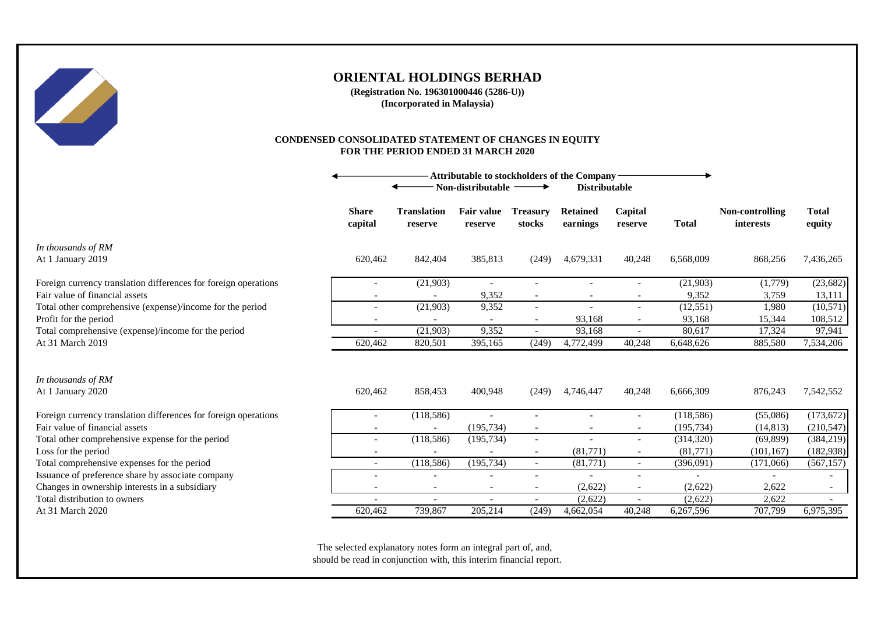

**(Registration No. 196301000446 (5286-U)) (Incorporated in Malaysia)**

### **CONDENSED CONSOLIDATED STATEMENT OF CHANGES IN EQUITY FOR THE PERIOD ENDED 31 MARCH 2020**

|                                                                 | Attributable to stockholders of the Company<br>Non-distributable $-$<br><b>Distributable</b> |                               |                              |                           |                             |                          |              |                              |                        |
|-----------------------------------------------------------------|----------------------------------------------------------------------------------------------|-------------------------------|------------------------------|---------------------------|-----------------------------|--------------------------|--------------|------------------------------|------------------------|
|                                                                 | <b>Share</b><br>capital                                                                      | <b>Translation</b><br>reserve | <b>Fair value</b><br>reserve | <b>Treasury</b><br>stocks | <b>Retained</b><br>earnings | Capital<br>reserve       | <b>Total</b> | Non-controlling<br>interests | <b>Total</b><br>equity |
| In thousands of RM<br>At 1 January 2019                         | 620,462                                                                                      | 842,404                       | 385,813                      | (249)                     | 4,679,331                   | 40,248                   | 6,568,009    | 868,256                      | 7,436,265              |
| Foreign currency translation differences for foreign operations | $\overline{\phantom{a}}$                                                                     | (21,903)                      | $\overline{\phantom{a}}$     | $\overline{\phantom{a}}$  |                             |                          | (21,903)     | (1,779)                      | (23, 682)              |
| Fair value of financial assets                                  |                                                                                              |                               | 9,352                        | $\overline{\phantom{a}}$  |                             |                          | 9,352        | 3,759                        | 13,111                 |
| Total other comprehensive (expense)/income for the period       |                                                                                              | (21,903)                      | 9,352                        | $\overline{\phantom{a}}$  |                             |                          | (12, 551)    | 1,980                        | (10, 571)              |
| Profit for the period                                           |                                                                                              |                               |                              | $\overline{\phantom{a}}$  | 93,168                      |                          | 93,168       | 15,344                       | 108,512                |
| Total comprehensive (expense)/income for the period             | $\overline{\phantom{a}}$                                                                     | (21,903)                      | 9,352                        | $\sim$                    | 93,168                      | $\overline{\phantom{a}}$ | 80,617       | 17,324                       | 97,941                 |
| At 31 March 2019                                                | 620,462                                                                                      | 820,501                       | 395,165                      | (249)                     | 4,772,499                   | 40,248                   | 6,648,626    | 885,580                      | 7,534,206              |
|                                                                 |                                                                                              |                               |                              |                           |                             |                          |              |                              |                        |
| In thousands of RM<br>At 1 January 2020                         | 620,462                                                                                      | 858,453                       | 400,948                      | (249)                     | 4,746,447                   | 40,248                   | 6,666,309    | 876,243                      | 7,542,552              |
| Foreign currency translation differences for foreign operations | $\overline{\phantom{a}}$                                                                     | (118,586)                     |                              |                           |                             |                          | (118, 586)   | (55,086)                     | (173, 672)             |
| Fair value of financial assets                                  |                                                                                              |                               | (195, 734)                   |                           |                             |                          | (195, 734)   | (14, 813)                    | (210, 547)             |
| Total other comprehensive expense for the period                |                                                                                              | (118, 586)                    | (195, 734)                   | $\overline{\phantom{a}}$  |                             |                          | (314, 320)   | (69, 899)                    | (384,219)              |
| Loss for the period                                             |                                                                                              |                               |                              | $\overline{\phantom{a}}$  | (81,771)                    |                          | (81,771)     | (101, 167)                   | (182, 938)             |
| Total comprehensive expenses for the period                     | $\overline{\phantom{a}}$                                                                     | (118, 586)                    | (195, 734)                   | $\sim$                    | (81,771)                    | $\overline{\phantom{a}}$ | (396,091)    | (171,066)                    | (567, 157)             |
| Issuance of preference share by associate company               |                                                                                              | $\overline{\phantom{0}}$      |                              |                           |                             |                          |              |                              |                        |
| Changes in ownership interests in a subsidiary                  |                                                                                              | $\overline{\phantom{a}}$      |                              | $\overline{\phantom{a}}$  | (2,622)                     |                          | (2,622)      | 2,622                        | $\sim$                 |
| Total distribution to owners                                    | $\overline{\phantom{a}}$                                                                     | $\overline{a}$                |                              | $\sim$                    | (2,622)                     |                          | (2,622)      | 2,622                        |                        |
| At 31 March 2020                                                | 620,462                                                                                      | 739,867                       | 205,214                      | (249)                     | 4,662,054                   | 40,248                   | 6,267,596    | 707,799                      | 6,975,395              |

The selected explanatory notes form an integral part of, and, should be read in conjunction with, this interim financial report.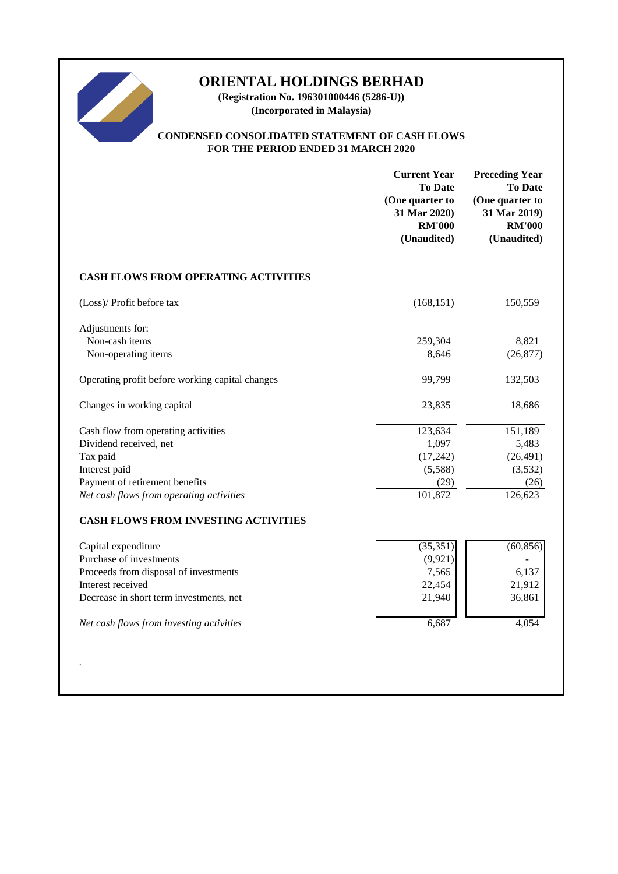

**(Registration No. 196301000446 (5286-U)) (Incorporated in Malaysia)**

# **CONDENSED CONSOLIDATED STATEMENT OF CASH FLOWS FOR THE PERIOD ENDED 31 MARCH 2020**

|                                                                                                                                                                                                     | <b>Current Year</b><br><b>To Date</b><br>(One quarter to<br>31 Mar 2020)<br><b>RM'000</b><br>(Unaudited) | <b>Preceding Year</b><br><b>To Date</b><br>(One quarter to<br>31 Mar 2019)<br><b>RM'000</b><br>(Unaudited) |
|-----------------------------------------------------------------------------------------------------------------------------------------------------------------------------------------------------|----------------------------------------------------------------------------------------------------------|------------------------------------------------------------------------------------------------------------|
| <b>CASH FLOWS FROM OPERATING ACTIVITIES</b>                                                                                                                                                         |                                                                                                          |                                                                                                            |
| (Loss)/ Profit before tax                                                                                                                                                                           | (168, 151)                                                                                               | 150,559                                                                                                    |
| Adjustments for:<br>Non-cash items<br>Non-operating items                                                                                                                                           | 259,304<br>8,646                                                                                         | 8,821<br>(26, 877)                                                                                         |
| Operating profit before working capital changes                                                                                                                                                     | 99,799                                                                                                   | 132,503                                                                                                    |
| Changes in working capital                                                                                                                                                                          | 23,835                                                                                                   | 18,686                                                                                                     |
| Cash flow from operating activities<br>Dividend received, net<br>Tax paid<br>Interest paid<br>Payment of retirement benefits<br>Net cash flows from operating activities                            | 123,634<br>1,097<br>(17, 242)<br>(5,588)<br>(29)<br>101,872                                              | 151,189<br>5,483<br>(26, 491)<br>(3,532)<br>(26)<br>126,623                                                |
| <b>CASH FLOWS FROM INVESTING ACTIVITIES</b>                                                                                                                                                         |                                                                                                          |                                                                                                            |
| Capital expenditure<br>Purchase of investments<br>Proceeds from disposal of investments<br>Interest received<br>Decrease in short term investments, net<br>Net cash flows from investing activities | (35, 351)<br>(9, 921)<br>7,565<br>22,454<br>21,940<br>6,687                                              | (60, 856)<br>6,137<br>21,912<br>36,861<br>4,054                                                            |
|                                                                                                                                                                                                     |                                                                                                          |                                                                                                            |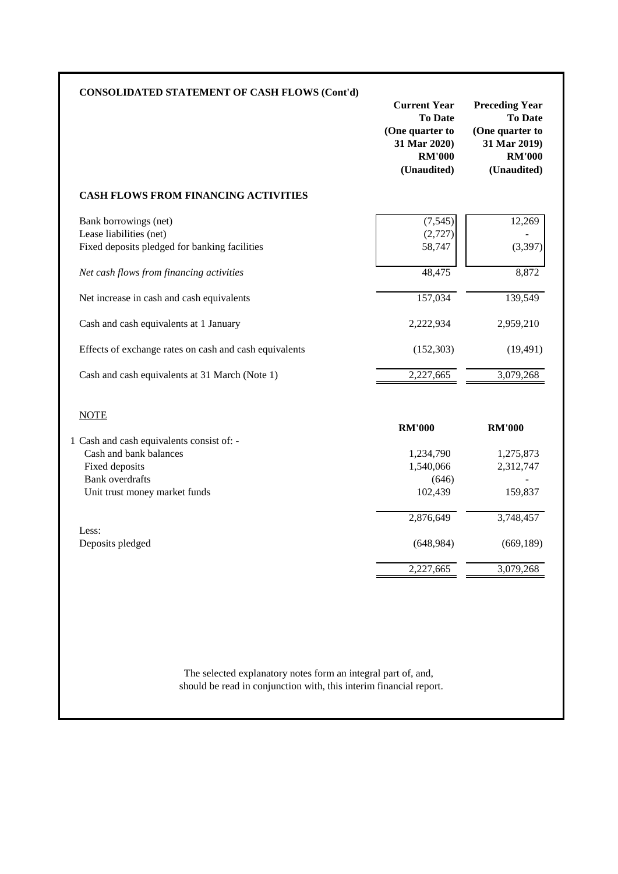| <b>CONSOLIDATED STATEMENT OF CASH FLOWS (Cont'd)</b>                                                                                             | <b>Current Year</b><br><b>To Date</b><br>(One quarter to<br>31 Mar 2020)<br><b>RM'000</b><br>(Unaudited) | <b>Preceding Year</b><br><b>To Date</b><br>(One quarter to<br>31 Mar 2019)<br><b>RM'000</b><br>(Unaudited) |
|--------------------------------------------------------------------------------------------------------------------------------------------------|----------------------------------------------------------------------------------------------------------|------------------------------------------------------------------------------------------------------------|
| <b>CASH FLOWS FROM FINANCING ACTIVITIES</b>                                                                                                      |                                                                                                          |                                                                                                            |
| Bank borrowings (net)<br>Lease liabilities (net)<br>Fixed deposits pledged for banking facilities                                                | (7, 545)<br>(2,727)<br>58,747                                                                            | 12,269<br>(3, 397)                                                                                         |
| Net cash flows from financing activities                                                                                                         | 48,475                                                                                                   | 8,872                                                                                                      |
| Net increase in cash and cash equivalents                                                                                                        | 157,034                                                                                                  | 139,549                                                                                                    |
| Cash and cash equivalents at 1 January                                                                                                           | 2,222,934                                                                                                | 2,959,210                                                                                                  |
| Effects of exchange rates on cash and cash equivalents                                                                                           | (152, 303)                                                                                               | (19, 491)                                                                                                  |
| Cash and cash equivalents at 31 March (Note 1)                                                                                                   | 2,227,665                                                                                                | 3,079,268                                                                                                  |
| <b>NOTE</b>                                                                                                                                      | <b>RM'000</b>                                                                                            | <b>RM'000</b>                                                                                              |
| 1 Cash and cash equivalents consist of: -<br>Cash and bank balances<br>Fixed deposits<br><b>Bank</b> overdrafts<br>Unit trust money market funds | 1,234,790<br>1,540,066<br>(646)<br>102,439                                                               | 1,275,873<br>2,312,747<br>159,837                                                                          |
| Less:                                                                                                                                            | 2,876,649                                                                                                | 3,748,457                                                                                                  |
| Deposits pledged                                                                                                                                 | (648, 984)                                                                                               | (669, 189)                                                                                                 |
|                                                                                                                                                  | 2,227,665                                                                                                | 3,079,268                                                                                                  |

should be read in conjunction with, this interim financial report. The selected explanatory notes form an integral part of, and,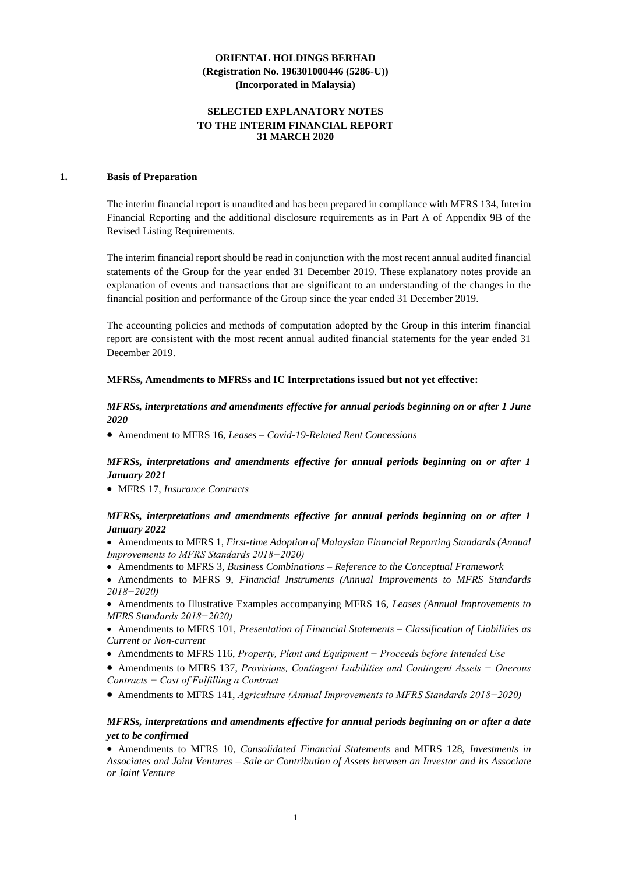### **SELECTED EXPLANATORY NOTES TO THE INTERIM FINANCIAL REPORT 31 MARCH 2020**

### **1. Basis of Preparation**

The interim financial report is unaudited and has been prepared in compliance with MFRS 134, Interim Financial Reporting and the additional disclosure requirements as in Part A of Appendix 9B of the Revised Listing Requirements.

The interim financial report should be read in conjunction with the most recent annual audited financial statements of the Group for the year ended 31 December 2019. These explanatory notes provide an explanation of events and transactions that are significant to an understanding of the changes in the financial position and performance of the Group since the year ended 31 December 2019.

The accounting policies and methods of computation adopted by the Group in this interim financial report are consistent with the most recent annual audited financial statements for the year ended 31 December 2019.

#### **MFRSs, Amendments to MFRSs and IC Interpretations issued but not yet effective:**

### *MFRSs, interpretations and amendments effective for annual periods beginning on or after 1 June 2020*

• Amendment to MFRS 16*, Leases – Covid-19-Related Rent Concessions*

### *MFRSs, interpretations and amendments effective for annual periods beginning on or after 1 January 2021*

• MFRS 17, *Insurance Contracts*

### *MFRSs, interpretations and amendments effective for annual periods beginning on or after 1 January 2022*

• Amendments to MFRS 1, *First-time Adoption of Malaysian Financial Reporting Standards (Annual Improvements to MFRS Standards 2018−2020)*

• Amendments to MFRS 3, *Business Combinations – Reference to the Conceptual Framework*

• Amendments to MFRS 9, *Financial Instruments (Annual Improvements to MFRS Standards 2018−2020)*

• Amendments to Illustrative Examples accompanying MFRS 16, *Leases (Annual Improvements to MFRS Standards 2018−2020)*

- Amendments to MFRS 101, *Presentation of Financial Statements – Classification of Liabilities as Current or Non-current*
- Amendments to MFRS 116, *Property, Plant and Equipment − Proceeds before Intended Use*
- Amendments to MFRS 137, *Provisions, Contingent Liabilities and Contingent Assets − Onerous Contracts − Cost of Fulfilling a Contract*
- Amendments to MFRS 141, *Agriculture (Annual Improvements to MFRS Standards 2018−2020)*

### *MFRSs, interpretations and amendments effective for annual periods beginning on or after a date yet to be confirmed*

• Amendments to MFRS 10, *Consolidated Financial Statements* and MFRS 128, *Investments in Associates and Joint Ventures – Sale or Contribution of Assets between an Investor and its Associate or Joint Venture*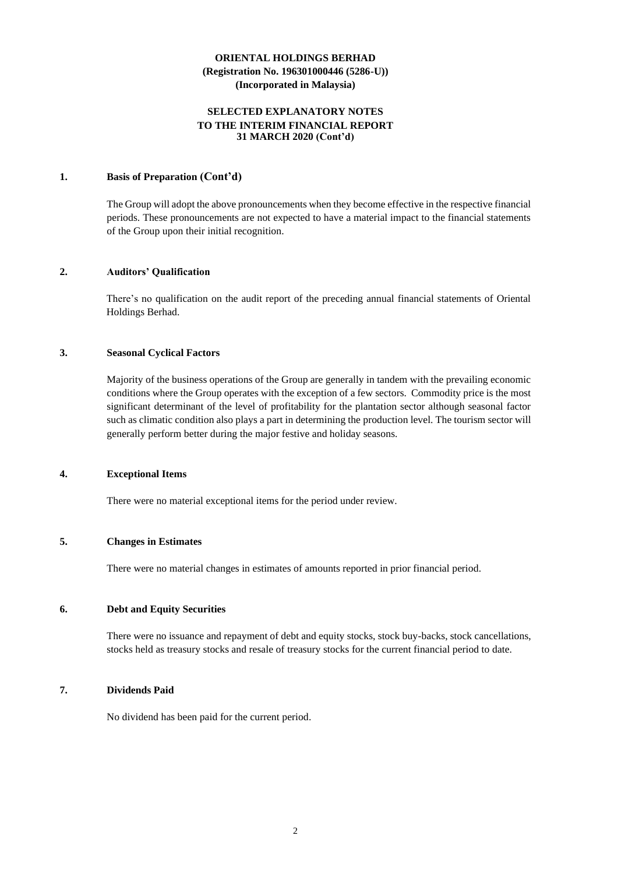### **SELECTED EXPLANATORY NOTES TO THE INTERIM FINANCIAL REPORT 31 MARCH 2020 (Cont'd)**

### **1. Basis of Preparation (Cont'd)**

The Group will adopt the above pronouncements when they become effective in the respective financial periods. These pronouncements are not expected to have a material impact to the financial statements of the Group upon their initial recognition.

#### **2. Auditors' Qualification**

There's no qualification on the audit report of the preceding annual financial statements of Oriental Holdings Berhad.

#### **3. Seasonal Cyclical Factors**

Majority of the business operations of the Group are generally in tandem with the prevailing economic conditions where the Group operates with the exception of a few sectors. Commodity price is the most significant determinant of the level of profitability for the plantation sector although seasonal factor such as climatic condition also plays a part in determining the production level. The tourism sector will generally perform better during the major festive and holiday seasons.

#### **4. Exceptional Items**

There were no material exceptional items for the period under review.

## **5. Changes in Estimates**

There were no material changes in estimates of amounts reported in prior financial period.

#### **6. Debt and Equity Securities**

There were no issuance and repayment of debt and equity stocks, stock buy-backs, stock cancellations, stocks held as treasury stocks and resale of treasury stocks for the current financial period to date.

### **7. Dividends Paid**

No dividend has been paid for the current period.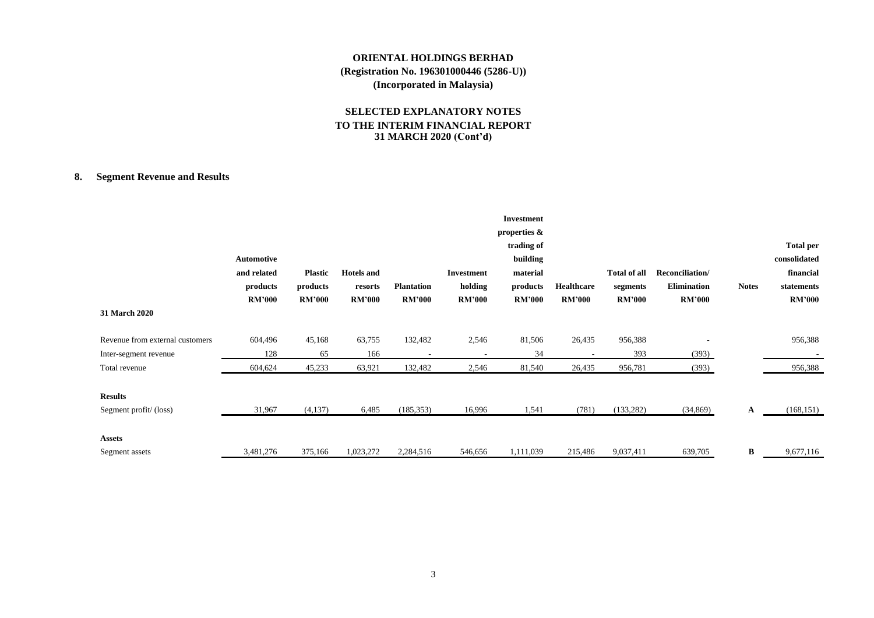### **SELECTED EXPLANATORY NOTES TO THE INTERIM FINANCIAL REPORT 31 MARCH 2020 (Cont'd)**

# **8. Segment Revenue and Results**

| 31 March 2020                   | Automotive<br>and related<br>products<br><b>RM'000</b> | <b>Plastic</b><br>products<br><b>RM'000</b> | <b>Hotels</b> and<br>resorts<br><b>RM'000</b> | <b>Plantation</b><br><b>RM'000</b> | <b>Investment</b><br>holding<br><b>RM'000</b> | <b>Investment</b><br>properties &<br>trading of<br>building<br>material<br>products<br><b>RM'000</b> | Healthcare<br><b>RM'000</b> | Total of all<br>segments<br><b>RM'000</b> | Reconciliation/<br><b>Elimination</b><br><b>RM'000</b> | <b>Notes</b> | <b>Total per</b><br>consolidated<br>financial<br>statements<br><b>RM'000</b> |
|---------------------------------|--------------------------------------------------------|---------------------------------------------|-----------------------------------------------|------------------------------------|-----------------------------------------------|------------------------------------------------------------------------------------------------------|-----------------------------|-------------------------------------------|--------------------------------------------------------|--------------|------------------------------------------------------------------------------|
| Revenue from external customers | 604,496                                                | 45,168                                      | 63,755                                        | 132,482                            | 2,546                                         | 81,506                                                                                               | 26,435                      | 956,388                                   |                                                        |              | 956,388                                                                      |
| Inter-segment revenue           | 128                                                    | 65                                          | 166                                           | $\overline{\phantom{a}}$           | $\overline{\phantom{a}}$                      | 34                                                                                                   |                             | 393                                       | (393)                                                  |              |                                                                              |
| Total revenue                   | 604,624                                                | 45,233                                      | 63,921                                        | 132,482                            | 2,546                                         | 81,540                                                                                               | 26,435                      | 956,781                                   | (393)                                                  |              | 956,388                                                                      |
| <b>Results</b>                  |                                                        |                                             |                                               |                                    |                                               |                                                                                                      |                             |                                           |                                                        |              |                                                                              |
| Segment profit/(loss)           | 31,967                                                 | (4,137)                                     | 6,485                                         | (185, 353)                         | 16,996                                        | 1,541                                                                                                | (781)                       | (133, 282)                                | (34, 869)                                              | $\mathbf{A}$ | (168, 151)                                                                   |
| <b>Assets</b>                   |                                                        |                                             |                                               |                                    |                                               |                                                                                                      |                             |                                           |                                                        |              |                                                                              |
| Segment assets                  | 3,481,276                                              | 375,166                                     | 1,023,272                                     | 2,284,516                          | 546,656                                       | 1,111,039                                                                                            | 215,486                     | 9,037,411                                 | 639,705                                                | B            | 9,677,116                                                                    |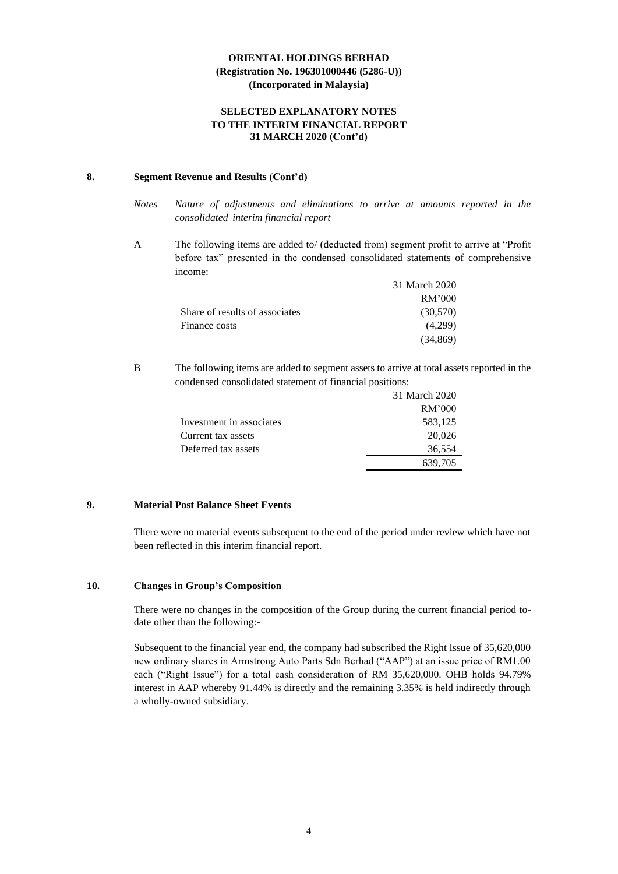### **SELECTED EXPLANATORY NOTES TO THE INTERIM FINANCIAL REPORT 31 MARCH 2020 (Cont'd)**

### **8. Segment Revenue and Results (Cont'd)**

- *Notes Nature of adjustments and eliminations to arrive at amounts reported in the consolidated interim financial report*
- A The following items are added to/ (deducted from) segment profit to arrive at "Profit before tax" presented in the condensed consolidated statements of comprehensive income:

|                                | 31 March 2020 |
|--------------------------------|---------------|
|                                | RM'000        |
| Share of results of associates | (30,570)      |
| Finance costs                  | (4.299)       |
|                                | (34.869)      |

B The following items are added to segment assets to arrive at total assets reported in the condensed consolidated statement of financial positions:

|                          | 31 March 2020 |
|--------------------------|---------------|
|                          | RM'000        |
| Investment in associates | 583,125       |
| Current tax assets       | 20,026        |
| Deferred tax assets      | 36,554        |
|                          | 639,705       |

### **9. Material Post Balance Sheet Events**

There were no material events subsequent to the end of the period under review which have not been reflected in this interim financial report.

### **10. Changes in Group's Composition**

There were no changes in the composition of the Group during the current financial period todate other than the following:-

Subsequent to the financial year end, the company had subscribed the Right Issue of 35,620,000 new ordinary shares in Armstrong Auto Parts Sdn Berhad ("AAP") at an issue price of RM1.00 each ("Right Issue") for a total cash consideration of RM 35,620,000. OHB holds 94.79% interest in AAP whereby 91.44% is directly and the remaining 3.35% is held indirectly through a wholly-owned subsidiary.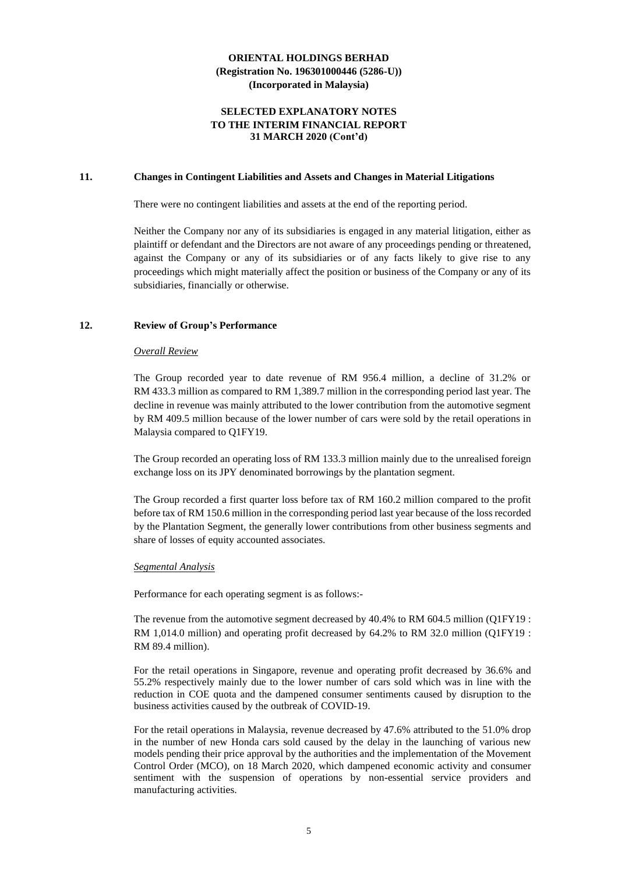### **SELECTED EXPLANATORY NOTES TO THE INTERIM FINANCIAL REPORT 31 MARCH 2020 (Cont'd)**

#### **11. Changes in Contingent Liabilities and Assets and Changes in Material Litigations**

There were no contingent liabilities and assets at the end of the reporting period.

Neither the Company nor any of its subsidiaries is engaged in any material litigation, either as plaintiff or defendant and the Directors are not aware of any proceedings pending or threatened, against the Company or any of its subsidiaries or of any facts likely to give rise to any proceedings which might materially affect the position or business of the Company or any of its subsidiaries, financially or otherwise.

#### **12. Review of Group's Performance**

#### *Overall Review*

The Group recorded year to date revenue of RM 956.4 million, a decline of 31.2% or RM 433.3 million as compared to RM 1,389.7 million in the corresponding period last year. The decline in revenue was mainly attributed to the lower contribution from the automotive segment by RM 409.5 million because of the lower number of cars were sold by the retail operations in Malaysia compared to Q1FY19.

The Group recorded an operating loss of RM 133.3 million mainly due to the unrealised foreign exchange loss on its JPY denominated borrowings by the plantation segment.

The Group recorded a first quarter loss before tax of RM 160.2 million compared to the profit before tax of RM 150.6 million in the corresponding period last year because of the loss recorded by the Plantation Segment, the generally lower contributions from other business segments and share of losses of equity accounted associates.

#### *Segmental Analysis*

Performance for each operating segment is as follows:-

The revenue from the automotive segment decreased by 40.4% to RM 604.5 million (Q1FY19 : RM 1,014.0 million) and operating profit decreased by 64.2% to RM 32.0 million (Q1FY19 : RM 89.4 million).

For the retail operations in Singapore, revenue and operating profit decreased by 36.6% and 55.2% respectively mainly due to the lower number of cars sold which was in line with the reduction in COE quota and the dampened consumer sentiments caused by disruption to the business activities caused by the outbreak of COVID-19.

For the retail operations in Malaysia, revenue decreased by 47.6% attributed to the 51.0% drop in the number of new Honda cars sold caused by the delay in the launching of various new models pending their price approval by the authorities and the implementation of the Movement Control Order (MCO), on 18 March 2020, which dampened economic activity and consumer sentiment with the suspension of operations by non-essential service providers and manufacturing activities.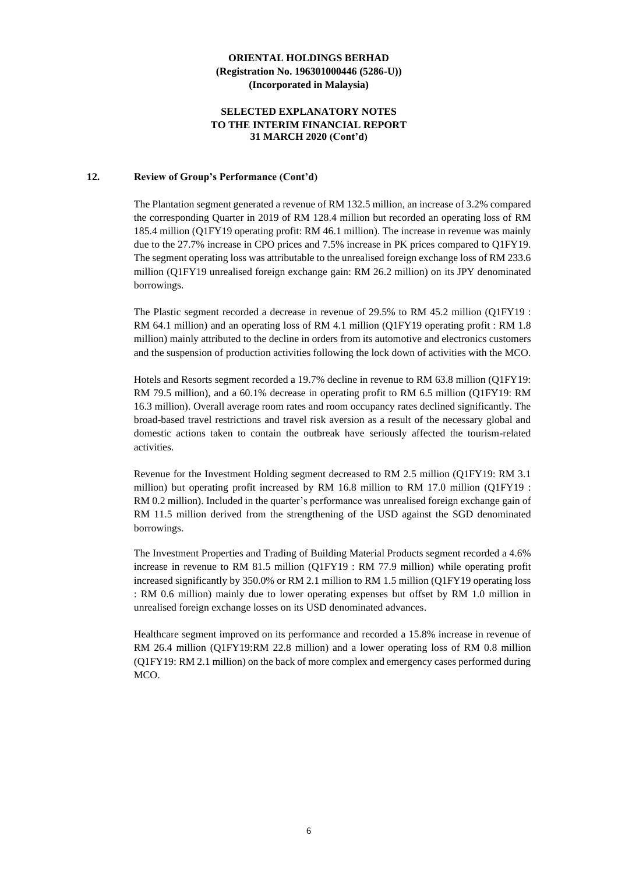### **SELECTED EXPLANATORY NOTES TO THE INTERIM FINANCIAL REPORT 31 MARCH 2020 (Cont'd)**

#### **12. Review of Group's Performance (Cont'd)**

The Plantation segment generated a revenue of RM 132.5 million, an increase of 3.2% compared the corresponding Quarter in 2019 of RM 128.4 million but recorded an operating loss of RM 185.4 million (Q1FY19 operating profit: RM 46.1 million). The increase in revenue was mainly due to the 27.7% increase in CPO prices and 7.5% increase in PK prices compared to Q1FY19. The segment operating loss was attributable to the unrealised foreign exchange loss of RM 233.6 million (Q1FY19 unrealised foreign exchange gain: RM 26.2 million) on its JPY denominated borrowings.

The Plastic segment recorded a decrease in revenue of 29.5% to RM 45.2 million (Q1FY19 : RM 64.1 million) and an operating loss of RM 4.1 million (Q1FY19 operating profit : RM 1.8 million) mainly attributed to the decline in orders from its automotive and electronics customers and the suspension of production activities following the lock down of activities with the MCO.

Hotels and Resorts segment recorded a 19.7% decline in revenue to RM 63.8 million (Q1FY19: RM 79.5 million), and a 60.1% decrease in operating profit to RM 6.5 million (Q1FY19: RM 16.3 million). Overall average room rates and room occupancy rates declined significantly. The broad-based travel restrictions and travel risk aversion as a result of the necessary global and domestic actions taken to contain the outbreak have seriously affected the tourism-related activities.

Revenue for the Investment Holding segment decreased to RM 2.5 million (Q1FY19: RM 3.1 million) but operating profit increased by RM 16.8 million to RM 17.0 million (Q1FY19 : RM 0.2 million). Included in the quarter's performance was unrealised foreign exchange gain of RM 11.5 million derived from the strengthening of the USD against the SGD denominated borrowings.

The Investment Properties and Trading of Building Material Products segment recorded a 4.6% increase in revenue to RM 81.5 million (Q1FY19 : RM 77.9 million) while operating profit increased significantly by 350.0% or RM 2.1 million to RM 1.5 million (Q1FY19 operating loss : RM 0.6 million) mainly due to lower operating expenses but offset by RM 1.0 million in unrealised foreign exchange losses on its USD denominated advances.

Healthcare segment improved on its performance and recorded a 15.8% increase in revenue of RM 26.4 million (Q1FY19:RM 22.8 million) and a lower operating loss of RM 0.8 million (Q1FY19: RM 2.1 million) on the back of more complex and emergency cases performed during MCO.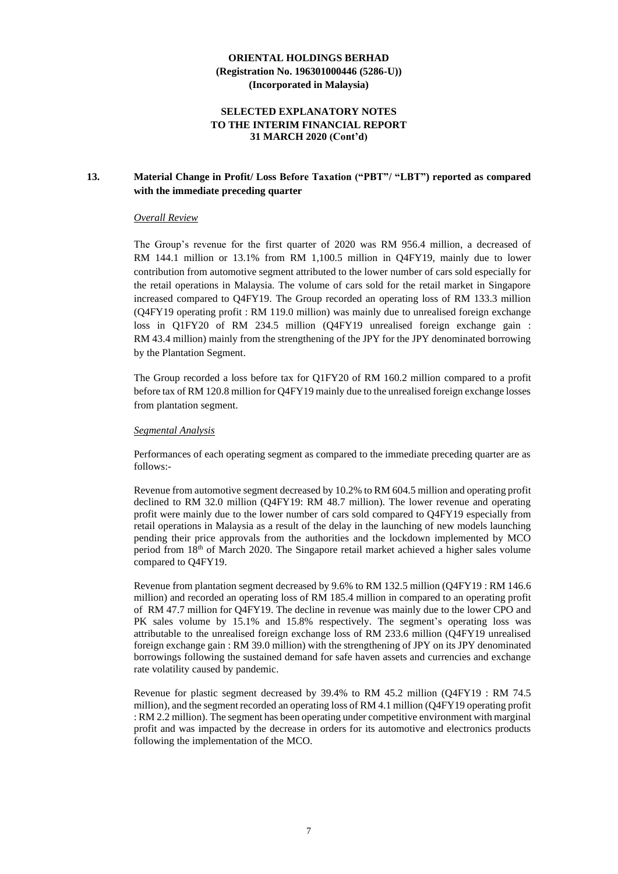### **SELECTED EXPLANATORY NOTES TO THE INTERIM FINANCIAL REPORT 31 MARCH 2020 (Cont'd)**

### **13. Material Change in Profit/ Loss Before Taxation ("PBT"/ "LBT") reported as compared with the immediate preceding quarter**

#### *Overall Review*

The Group's revenue for the first quarter of 2020 was RM 956.4 million, a decreased of RM 144.1 million or 13.1% from RM 1,100.5 million in Q4FY19, mainly due to lower contribution from automotive segment attributed to the lower number of cars sold especially for the retail operations in Malaysia. The volume of cars sold for the retail market in Singapore increased compared to Q4FY19. The Group recorded an operating loss of RM 133.3 million (Q4FY19 operating profit : RM 119.0 million) was mainly due to unrealised foreign exchange loss in Q1FY20 of RM 234.5 million (Q4FY19 unrealised foreign exchange gain : RM 43.4 million) mainly from the strengthening of the JPY for the JPY denominated borrowing by the Plantation Segment.

The Group recorded a loss before tax for Q1FY20 of RM 160.2 million compared to a profit before tax of RM 120.8 million for Q4FY19 mainly due to the unrealised foreign exchange losses from plantation segment.

#### *Segmental Analysis*

Performances of each operating segment as compared to the immediate preceding quarter are as follows:-

Revenue from automotive segment decreased by 10.2% to RM 604.5 million and operating profit declined to RM 32.0 million (Q4FY19: RM 48.7 million). The lower revenue and operating profit were mainly due to the lower number of cars sold compared to Q4FY19 especially from retail operations in Malaysia as a result of the delay in the launching of new models launching pending their price approvals from the authorities and the lockdown implemented by MCO period from 18th of March 2020. The Singapore retail market achieved a higher sales volume compared to Q4FY19.

Revenue from plantation segment decreased by 9.6% to RM 132.5 million (Q4FY19 : RM 146.6 million) and recorded an operating loss of RM 185.4 million in compared to an operating profit of RM 47.7 million for Q4FY19. The decline in revenue was mainly due to the lower CPO and PK sales volume by 15.1% and 15.8% respectively. The segment's operating loss was attributable to the unrealised foreign exchange loss of RM 233.6 million (Q4FY19 unrealised foreign exchange gain : RM 39.0 million) with the strengthening of JPY on its JPY denominated borrowings following the sustained demand for safe haven assets and currencies and exchange rate volatility caused by pandemic.

Revenue for plastic segment decreased by 39.4% to RM 45.2 million (Q4FY19 : RM 74.5 million), and the segment recorded an operating loss of RM 4.1 million (Q4FY19 operating profit : RM 2.2 million). The segment has been operating under competitive environment with marginal profit and was impacted by the decrease in orders for its automotive and electronics products following the implementation of the MCO.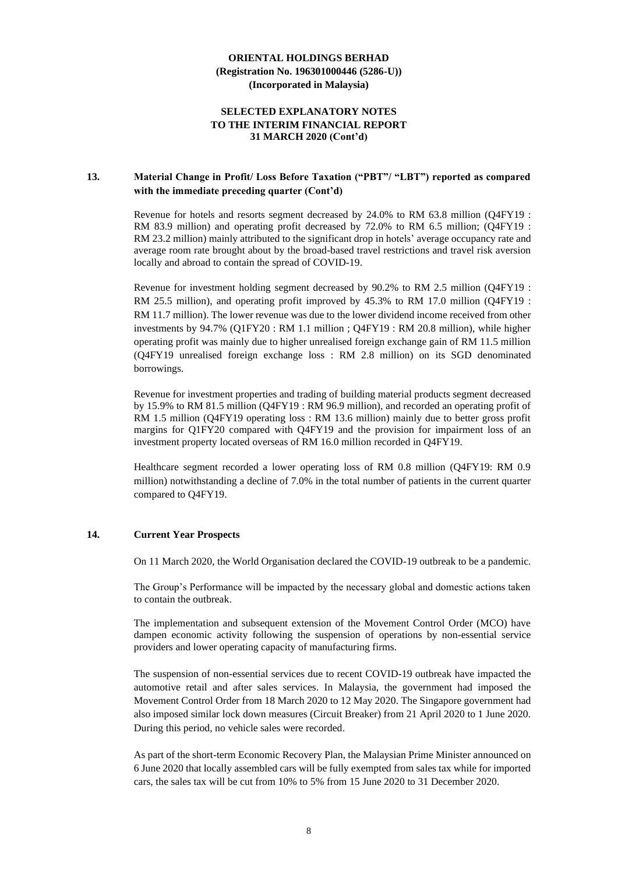### **SELECTED EXPLANATORY NOTES TO THE INTERIM FINANCIAL REPORT 31 MARCH 2020 (Cont'd)**

### **13. Material Change in Profit/ Loss Before Taxation ("PBT"/ "LBT") reported as compared with the immediate preceding quarter (Cont'd)**

Revenue for hotels and resorts segment decreased by 24.0% to RM 63.8 million (Q4FY19 : RM 83.9 million) and operating profit decreased by 72.0% to RM 6.5 million; (Q4FY19 : RM 23.2 million) mainly attributed to the significant drop in hotels' average occupancy rate and average room rate brought about by the broad-based travel restrictions and travel risk aversion locally and abroad to contain the spread of COVID-19.

Revenue for investment holding segment decreased by 90.2% to RM 2.5 million (Q4FY19 : RM 25.5 million), and operating profit improved by 45.3% to RM 17.0 million (Q4FY19 : RM 11.7 million). The lower revenue was due to the lower dividend income received from other investments by 94.7% (Q1FY20 : RM 1.1 million ; Q4FY19 : RM 20.8 million), while higher operating profit was mainly due to higher unrealised foreign exchange gain of RM 11.5 million (Q4FY19 unrealised foreign exchange loss : RM 2.8 million) on its SGD denominated borrowings.

Revenue for investment properties and trading of building material products segment decreased by 15.9% to RM 81.5 million (Q4FY19 : RM 96.9 million), and recorded an operating profit of RM 1.5 million (Q4FY19 operating loss : RM 13.6 million) mainly due to better gross profit margins for Q1FY20 compared with Q4FY19 and the provision for impairment loss of an investment property located overseas of RM 16.0 million recorded in Q4FY19.

Healthcare segment recorded a lower operating loss of RM 0.8 million (Q4FY19: RM 0.9 million) notwithstanding a decline of 7.0% in the total number of patients in the current quarter compared to Q4FY19.

### **14. Current Year Prospects**

On 11 March 2020, the World Organisation declared the COVID-19 outbreak to be a pandemic.

The Group's Performance will be impacted by the necessary global and domestic actions taken to contain the outbreak.

The implementation and subsequent extension of the Movement Control Order (MCO) have dampen economic activity following the suspension of operations by non-essential service providers and lower operating capacity of manufacturing firms.

The suspension of non-essential services due to recent COVID-19 outbreak have impacted the automotive retail and after sales services. In Malaysia, the government had imposed the Movement Control Order from 18 March 2020 to 12 May 2020. The Singapore government had also imposed similar lock down measures (Circuit Breaker) from 21 April 2020 to 1 June 2020. During this period, no vehicle sales were recorded.

As part of the short-term Economic Recovery Plan, the Malaysian Prime Minister announced on 6 June 2020 that locally assembled cars will be fully exempted from sales tax while for imported cars, the sales tax will be cut from 10% to 5% from 15 June 2020 to 31 December 2020.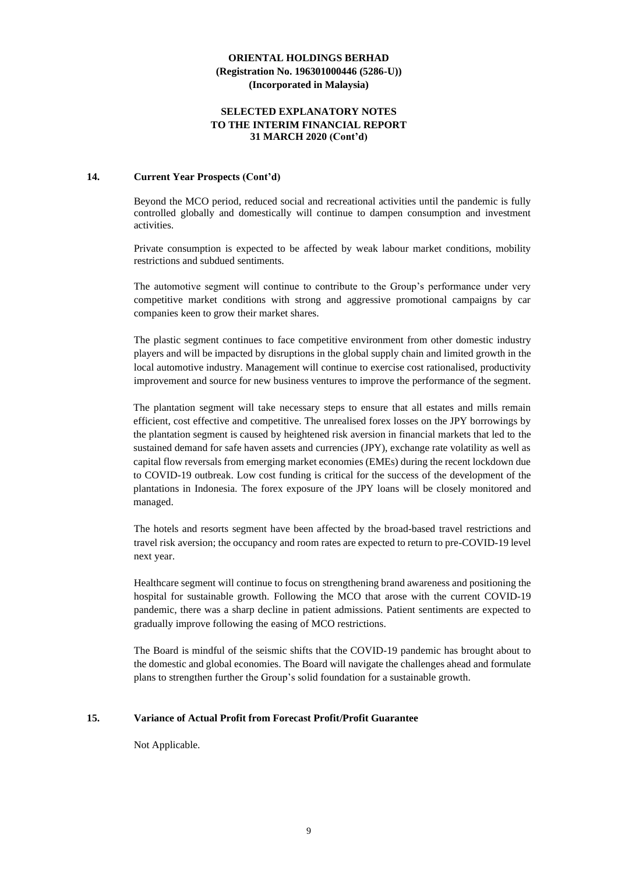### **SELECTED EXPLANATORY NOTES TO THE INTERIM FINANCIAL REPORT 31 MARCH 2020 (Cont'd)**

### **14. Current Year Prospects (Cont'd)**

Beyond the MCO period, reduced social and recreational activities until the pandemic is fully controlled globally and domestically will continue to dampen consumption and investment activities.

Private consumption is expected to be affected by weak labour market conditions, mobility restrictions and subdued sentiments.

The automotive segment will continue to contribute to the Group's performance under very competitive market conditions with strong and aggressive promotional campaigns by car companies keen to grow their market shares.

The plastic segment continues to face competitive environment from other domestic industry players and will be impacted by disruptions in the global supply chain and limited growth in the local automotive industry. Management will continue to exercise cost rationalised, productivity improvement and source for new business ventures to improve the performance of the segment.

The plantation segment will take necessary steps to ensure that all estates and mills remain efficient, cost effective and competitive. The unrealised forex losses on the JPY borrowings by the plantation segment is caused by heightened risk aversion in financial markets that led to the sustained demand for safe haven assets and currencies (JPY), exchange rate volatility as well as capital flow reversals from emerging market economies (EMEs) during the recent lockdown due to COVID-19 outbreak. Low cost funding is critical for the success of the development of the plantations in Indonesia. The forex exposure of the JPY loans will be closely monitored and managed.

The hotels and resorts segment have been affected by the broad-based travel restrictions and travel risk aversion; the occupancy and room rates are expected to return to pre-COVID-19 level next year.

Healthcare segment will continue to focus on strengthening brand awareness and positioning the hospital for sustainable growth. Following the MCO that arose with the current COVID-19 pandemic, there was a sharp decline in patient admissions. Patient sentiments are expected to gradually improve following the easing of MCO restrictions.

The Board is mindful of the seismic shifts that the COVID-19 pandemic has brought about to the domestic and global economies. The Board will navigate the challenges ahead and formulate plans to strengthen further the Group's solid foundation for a sustainable growth.

#### **15. Variance of Actual Profit from Forecast Profit/Profit Guarantee**

Not Applicable.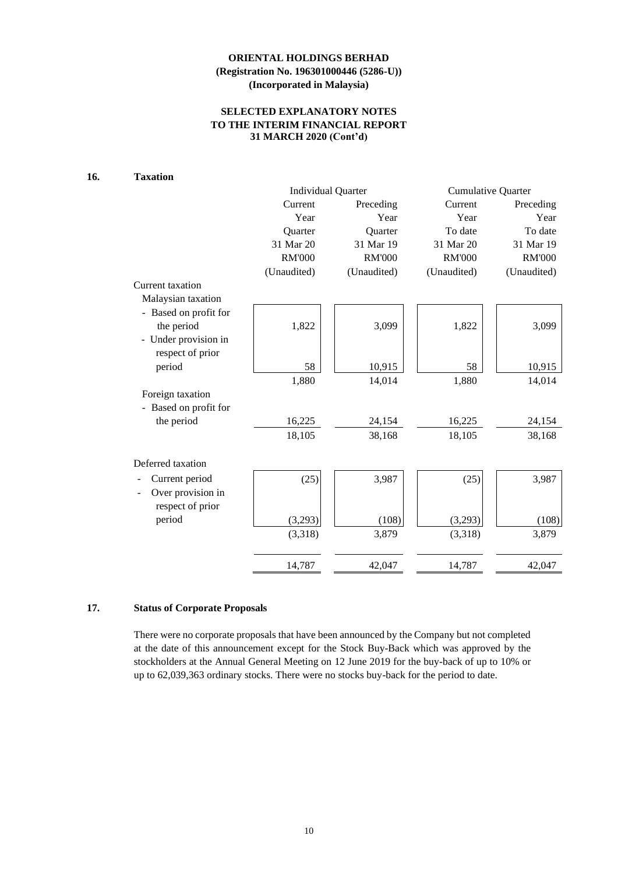### **SELECTED EXPLANATORY NOTES TO THE INTERIM FINANCIAL REPORT 31 MARCH 2020 (Cont'd)**

# **16. Taxation**

|                       | <b>Individual Quarter</b> |                | <b>Cumulative Quarter</b> |               |  |
|-----------------------|---------------------------|----------------|---------------------------|---------------|--|
|                       | Current                   | Preceding      | Current                   | Preceding     |  |
|                       | Year                      | Year           | Year                      | Year          |  |
|                       | Quarter                   | <b>Ouarter</b> | To date                   | To date       |  |
|                       | 31 Mar 20                 | 31 Mar 19      | 31 Mar 20                 | 31 Mar 19     |  |
|                       | <b>RM'000</b>             | <b>RM'000</b>  | <b>RM'000</b>             | <b>RM'000</b> |  |
|                       | (Unaudited)               | (Unaudited)    | (Unaudited)               | (Unaudited)   |  |
| Current taxation      |                           |                |                           |               |  |
| Malaysian taxation    |                           |                |                           |               |  |
| - Based on profit for |                           |                |                           |               |  |
| the period            | 1,822                     | 3,099          | 1,822                     | 3,099         |  |
| - Under provision in  |                           |                |                           |               |  |
| respect of prior      |                           |                |                           |               |  |
| period                | 58                        | 10,915         | 58                        | 10,915        |  |
|                       | 1,880                     | 14,014         | 1,880                     | 14,014        |  |
| Foreign taxation      |                           |                |                           |               |  |
| - Based on profit for |                           |                |                           |               |  |
| the period            | 16,225                    | 24,154         | 16,225                    | 24,154        |  |
|                       | 18,105                    | 38,168         | 18,105                    | 38,168        |  |
| Deferred taxation     |                           |                |                           |               |  |
| Current period        | (25)                      | 3,987          | (25)                      | 3,987         |  |
| Over provision in     |                           |                |                           |               |  |
| respect of prior      |                           |                |                           |               |  |
| period                | (3,293)                   | (108)          | (3,293)                   | (108)         |  |
|                       | (3,318)                   | 3,879          | (3,318)                   | 3,879         |  |
|                       |                           |                |                           |               |  |
|                       | 14,787                    | 42,047         | 14,787                    | 42,047        |  |

# **17. Status of Corporate Proposals**

There were no corporate proposals that have been announced by the Company but not completed at the date of this announcement except for the Stock Buy-Back which was approved by the stockholders at the Annual General Meeting on 12 June 2019 for the buy-back of up to 10% or up to 62,039,363 ordinary stocks. There were no stocks buy-back for the period to date.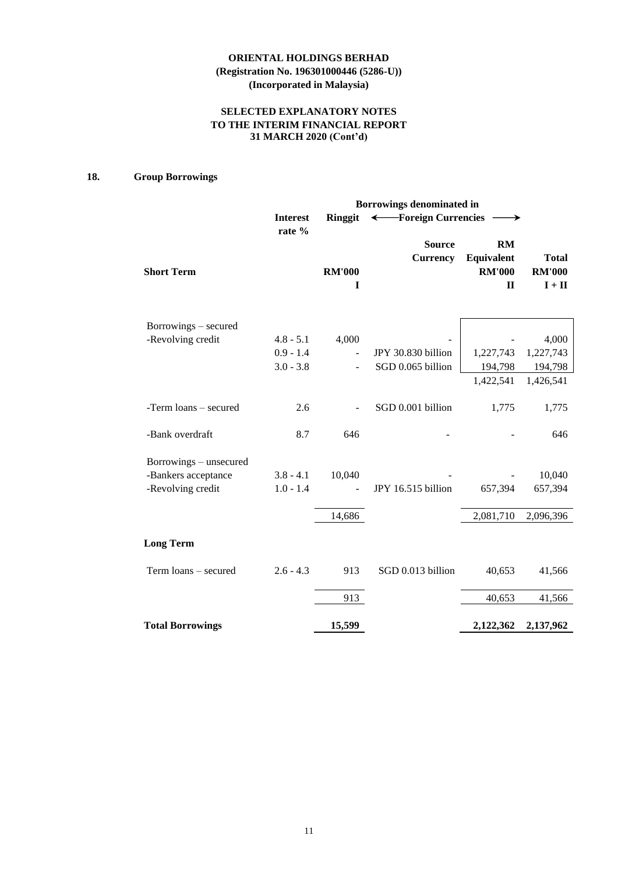## **SELECTED EXPLANATORY NOTES TO THE INTERIM FINANCIAL REPORT 31 MARCH 2020 (Cont'd)**

# **18. Group Borrowings**

|                         | Borrowings denominated in |                    |                                  |                                                          |                                           |  |  |  |
|-------------------------|---------------------------|--------------------|----------------------------------|----------------------------------------------------------|-------------------------------------------|--|--|--|
|                         | <b>Interest</b>           | Ringgit            | ← Foreign Currencies             |                                                          |                                           |  |  |  |
| <b>Short Term</b>       | rate %                    | <b>RM'000</b><br>I | <b>Source</b><br><b>Currency</b> | <b>RM</b><br>Equivalent<br><b>RM'000</b><br>$\mathbf{I}$ | <b>Total</b><br><b>RM'000</b><br>$I + II$ |  |  |  |
| Borrowings – secured    |                           |                    |                                  |                                                          |                                           |  |  |  |
| -Revolving credit       | $4.8 - 5.1$               | 4,000              |                                  |                                                          | 4,000                                     |  |  |  |
|                         | $0.9 - 1.4$               |                    | JPY 30.830 billion               | 1,227,743                                                | 1,227,743                                 |  |  |  |
|                         | $3.0 - 3.8$               |                    | SGD 0.065 billion                | 194,798                                                  | 194,798                                   |  |  |  |
|                         |                           |                    |                                  | 1,422,541                                                | 1,426,541                                 |  |  |  |
| -Term loans – secured   | 2.6                       |                    | SGD 0.001 billion                | 1,775                                                    | 1,775                                     |  |  |  |
| -Bank overdraft         | 8.7                       | 646                |                                  |                                                          | 646                                       |  |  |  |
| Borrowings – unsecured  |                           |                    |                                  |                                                          |                                           |  |  |  |
| -Bankers acceptance     | $3.8 - 4.1$               | 10,040             |                                  |                                                          | 10,040                                    |  |  |  |
| -Revolving credit       | $1.0 - 1.4$               |                    | JPY 16.515 billion               | 657,394                                                  | 657,394                                   |  |  |  |
|                         |                           | 14,686             |                                  | 2,081,710                                                | 2,096,396                                 |  |  |  |
| <b>Long Term</b>        |                           |                    |                                  |                                                          |                                           |  |  |  |
| Term loans - secured    | $2.6 - 4.3$               | 913                | SGD 0.013 billion                | 40,653                                                   | 41,566                                    |  |  |  |
|                         |                           | 913                |                                  | 40,653                                                   | 41,566                                    |  |  |  |
| <b>Total Borrowings</b> |                           | 15,599             |                                  | 2,122,362                                                | 2,137,962                                 |  |  |  |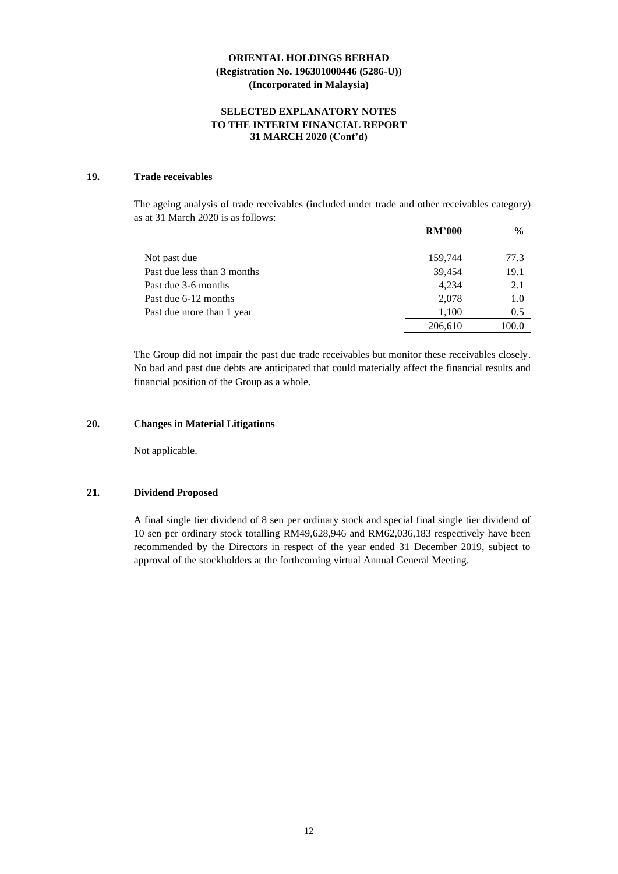### **SELECTED EXPLANATORY NOTES TO THE INTERIM FINANCIAL REPORT 31 MARCH 2020 (Cont'd)**

### **19. Trade receivables**

The ageing analysis of trade receivables (included under trade and other receivables category) as at 31 March 2020 is as follows:

|                             | <b>RM'000</b> | $\frac{6}{9}$ |
|-----------------------------|---------------|---------------|
| Not past due                | 159,744       | 77.3          |
| Past due less than 3 months | 39,454        | 19.1          |
| Past due 3-6 months         | 4.234         | 2.1           |
| Past due 6-12 months        | 2.078         | 1.0           |
| Past due more than 1 year   | 1,100         | 0.5           |
|                             | 206,610       | 100.0         |

The Group did not impair the past due trade receivables but monitor these receivables closely. No bad and past due debts are anticipated that could materially affect the financial results and financial position of the Group as a whole.

### **20. Changes in Material Litigations**

Not applicable.

#### **21. Dividend Proposed**

A final single tier dividend of 8 sen per ordinary stock and special final single tier dividend of 10 sen per ordinary stock totalling RM49,628,946 and RM62,036,183 respectively have been recommended by the Directors in respect of the year ended 31 December 2019, subject to approval of the stockholders at the forthcoming virtual Annual General Meeting.